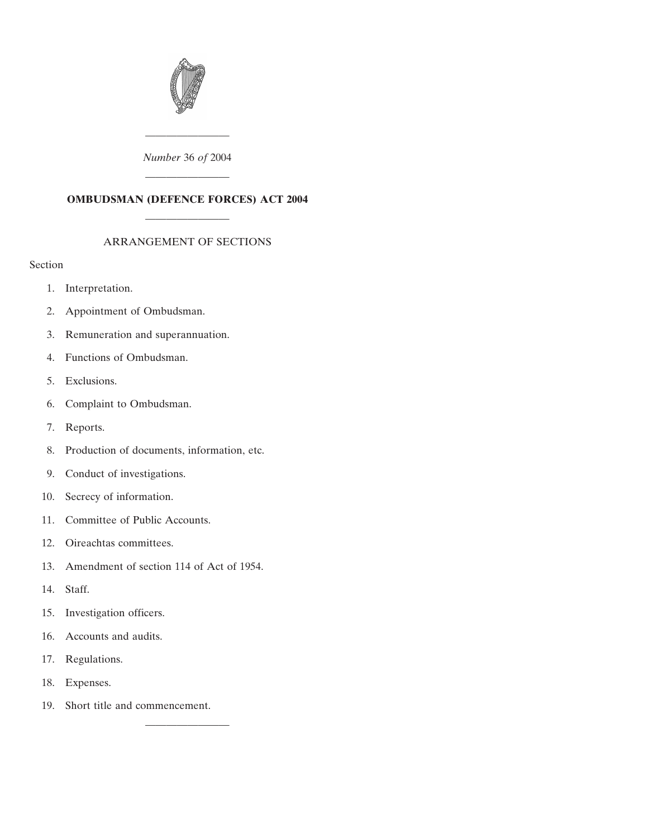

# *Number* 36 *of* 2004 ————————

————————

# **OMBUDSMAN (DEFENCE FORCES) ACT 2004** ————————

# ARRANGEMENT OF SECTIONS

# Section

- [1. Interpretation.](#page-2-0)
- [2. Appointment of Ombudsman.](#page-3-0)
- [3. Remuneration and superannuation.](#page-4-0)
- [4. Functions of Ombudsman.](#page-5-0)
- [5. Exclusions.](#page-7-0)
- [6. Complaint to Ombudsman.](#page-8-0)
- [7. Reports.](#page-8-0)
- [8. Production of documents, information, etc.](#page-10-0)
- [9. Conduct of investigations.](#page-11-0)
- [10. Secrecy of information.](#page-11-0)
- [11. Committee of Public Accounts.](#page-12-0)
- [12. Oireachtas committees.](#page-13-0)
- [13. Amendment of section 114 of Act of 1954.](#page-14-0)
- [14. Staff.](#page-14-0)
- [15. Investigation officers.](#page-15-0)
- [16. Accounts and audits.](#page-16-0)
- [17. Regulations.](#page-16-0)
- [18. Expenses.](#page-16-0)
- [19. Short title and commencement.](#page-16-0)

————————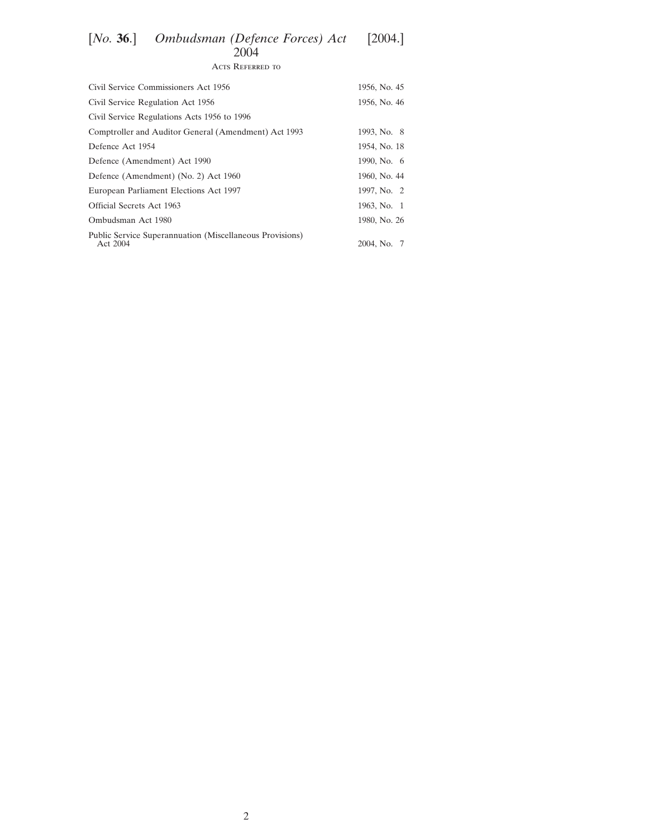# [*No.* **36**.] *Ombudsman (Defence Forces) Act* [2004.] 2004 Acts Referred to

| Civil Service Commissioners Act 1956                                 | 1956, No. 45 |
|----------------------------------------------------------------------|--------------|
| Civil Service Regulation Act 1956                                    | 1956, No. 46 |
| Civil Service Regulations Acts 1956 to 1996                          |              |
| Comptroller and Auditor General (Amendment) Act 1993                 | 1993, No. 8  |
| Defence Act 1954                                                     | 1954, No. 18 |
| Defence (Amendment) Act 1990                                         | 1990, No. 6  |
| Defence (Amendment) (No. 2) Act 1960                                 | 1960, No. 44 |
| European Parliament Elections Act 1997                               | 1997, No. 2  |
| Official Secrets Act 1963                                            | 1963, No. 1  |
| Ombudsman Act 1980                                                   | 1980, No. 26 |
| Public Service Superannuation (Miscellaneous Provisions)<br>Act 2004 | 2004, No. 7  |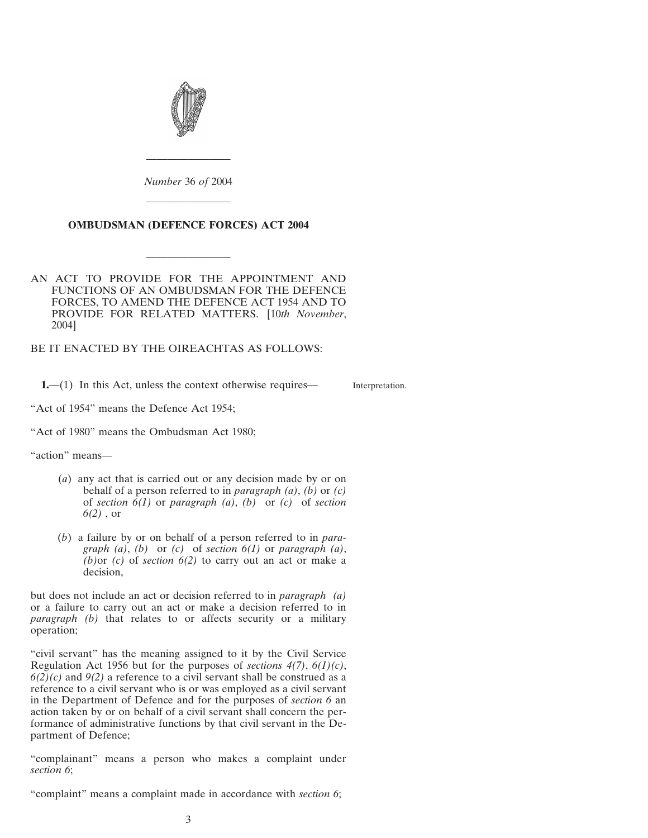<span id="page-2-0"></span>

*Number* 36 *of* 2004 ————————

————————

#### **OMBUDSMAN (DEFENCE FORCES) ACT 2004**

————————

AN ACT TO PROVIDE FOR THE APPOINTMENT AND FUNCTIONS OF AN OMBUDSMAN FOR THE DEFENCE FORCES, TO AMEND THE DEFENCE ACT 1954 AND TO PROVIDE FOR RELATED MATTERS. [10*th November*, 2004]

BE IT ENACTED BY THE OIREACHTAS AS FOLLOWS:

**1.—(1)** In this Act, unless the context otherwise requires—

Interpretation.

"Act of 1954" means the Defence Act 1954;

"Act of 1980" means the Ombudsman Act 1980;

"action" means—

- (*a*) any act that is carried out or any decision made by or on behalf of a person referred to in *paragraph (a)*, *(b)* or *(c)* of *section 6(1)* or *paragraph (a)*, *(b)* or *(c)* of *section 6(2)* , or
- (*b*) a failure by or on behalf of a person referred to in *paragraph (a)*, *(b)* or *(c)* of *section 6(1)* or *paragraph (a)*, *(b)*or *(c)* of *section 6(2)* to carry out an act or make a decision,

but does not include an act or decision referred to in *paragraph (a)* or a failure to carry out an act or make a decision referred to in *paragraph (b)* that relates to or affects security or a military operation;

"civil servant" has the meaning assigned to it by the Civil Service Regulation Act 1956 but for the purposes of *sections 4(7)*, *6(1)(c)*,  $6(2)(c)$  and  $9(2)$  a reference to a civil servant shall be construed as a reference to a civil servant who is or was employed as a civil servant in the Department of Defence and for the purposes of *section 6* an action taken by or on behalf of a civil servant shall concern the performance of administrative functions by that civil servant in the Department of Defence;

"complainant" means a person who makes a complaint under *section 6*;

"complaint" means a complaint made in accordance with *section 6*;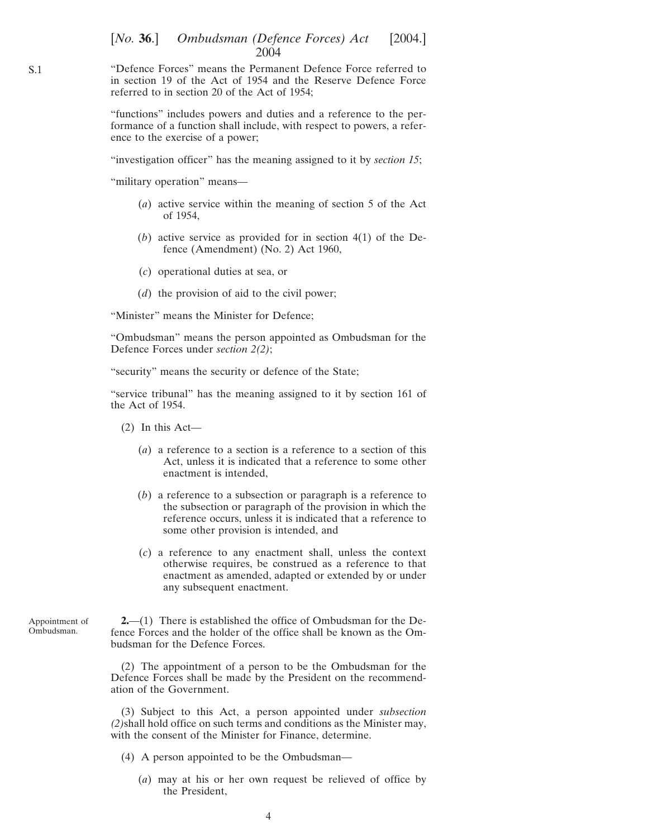<span id="page-3-0"></span>"Defence Forces" means the Permanent Defence Force referred to in section 19 of the Act of 1954 and the Reserve Defence Force referred to in section 20 of the Act of 1954;

"functions" includes powers and duties and a reference to the performance of a function shall include, with respect to powers, a reference to the exercise of a power;

"investigation officer" has the meaning assigned to it by *section 15*;

"military operation" means—

- (*a*) active service within the meaning of section 5 of the Act of 1954,
- (*b*) active service as provided for in section 4(1) of the Defence (Amendment) (No. 2) Act 1960,
- (*c*) operational duties at sea, or
- (*d*) the provision of aid to the civil power;

"Minister" means the Minister for Defence;

"Ombudsman" means the person appointed as Ombudsman for the Defence Forces under *section 2(2)*;

"security" means the security or defence of the State;

"service tribunal" has the meaning assigned to it by section 161 of the Act of 1954.

- (2) In this Act—
	- (*a*) a reference to a section is a reference to a section of this Act, unless it is indicated that a reference to some other enactment is intended,
	- (*b*) a reference to a subsection or paragraph is a reference to the subsection or paragraph of the provision in which the reference occurs, unless it is indicated that a reference to some other provision is intended, and
	- (*c*) a reference to any enactment shall, unless the context otherwise requires, be construed as a reference to that enactment as amended, adapted or extended by or under any subsequent enactment.

Appointment of Ombudsman.

**2.**—(1) There is established the office of Ombudsman for the Defence Forces and the holder of the office shall be known as the Ombudsman for the Defence Forces.

(2) The appointment of a person to be the Ombudsman for the Defence Forces shall be made by the President on the recommendation of the Government.

(3) Subject to this Act, a person appointed under *subsection (2)*shall hold office on such terms and conditions as the Minister may, with the consent of the Minister for Finance, determine.

- (4) A person appointed to be the Ombudsman—
	- (*a*) may at his or her own request be relieved of office by the President,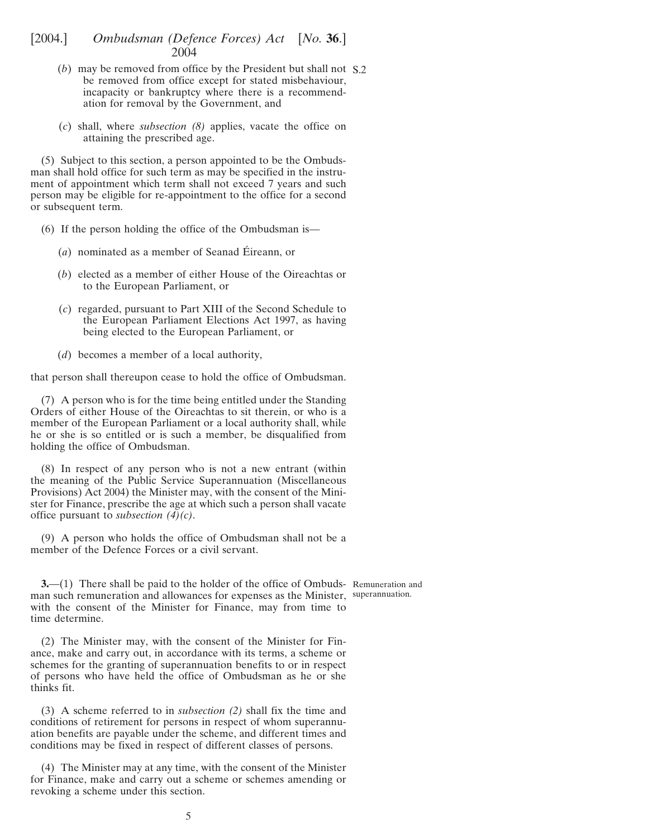- <span id="page-4-0"></span>(*b*) may be removed from office by the President but shall not S.2 be removed from office except for stated misbehaviour, incapacity or bankruptcy where there is a recommendation for removal by the Government, and
- (*c*) shall, where *subsection (8)* applies, vacate the office on attaining the prescribed age.

(5) Subject to this section, a person appointed to be the Ombudsman shall hold office for such term as may be specified in the instrument of appointment which term shall not exceed 7 years and such person may be eligible for re-appointment to the office for a second or subsequent term.

- (6) If the person holding the office of the Ombudsman is—
	- $(a)$  nominated as a member of Seanad Éireann, or
	- (*b*) elected as a member of either House of the Oireachtas or to the European Parliament, or
	- (*c*) regarded, pursuant to Part XIII of the Second Schedule to the European Parliament Elections Act 1997, as having being elected to the European Parliament, or
	- (*d*) becomes a member of a local authority,

that person shall thereupon cease to hold the office of Ombudsman.

(7) A person who is for the time being entitled under the Standing Orders of either House of the Oireachtas to sit therein, or who is a member of the European Parliament or a local authority shall, while he or she is so entitled or is such a member, be disqualified from holding the office of Ombudsman.

(8) In respect of any person who is not a new entrant (within the meaning of the Public Service Superannuation (Miscellaneous Provisions) Act 2004) the Minister may, with the consent of the Minister for Finance, prescribe the age at which such a person shall vacate office pursuant to *subsection (4)(c)*.

(9) A person who holds the office of Ombudsman shall not be a member of the Defence Forces or a civil servant.

**3.** (1) There shall be paid to the holder of the office of Ombuds- Remuneration and man such remuneration and allowances for expenses as the Minister, superannuation.with the consent of the Minister for Finance, may from time to time determine.

(2) The Minister may, with the consent of the Minister for Finance, make and carry out, in accordance with its terms, a scheme or schemes for the granting of superannuation benefits to or in respect of persons who have held the office of Ombudsman as he or she thinks fit.

(3) A scheme referred to in *subsection (2)* shall fix the time and conditions of retirement for persons in respect of whom superannuation benefits are payable under the scheme, and different times and conditions may be fixed in respect of different classes of persons.

(4) The Minister may at any time, with the consent of the Minister for Finance, make and carry out a scheme or schemes amending or revoking a scheme under this section.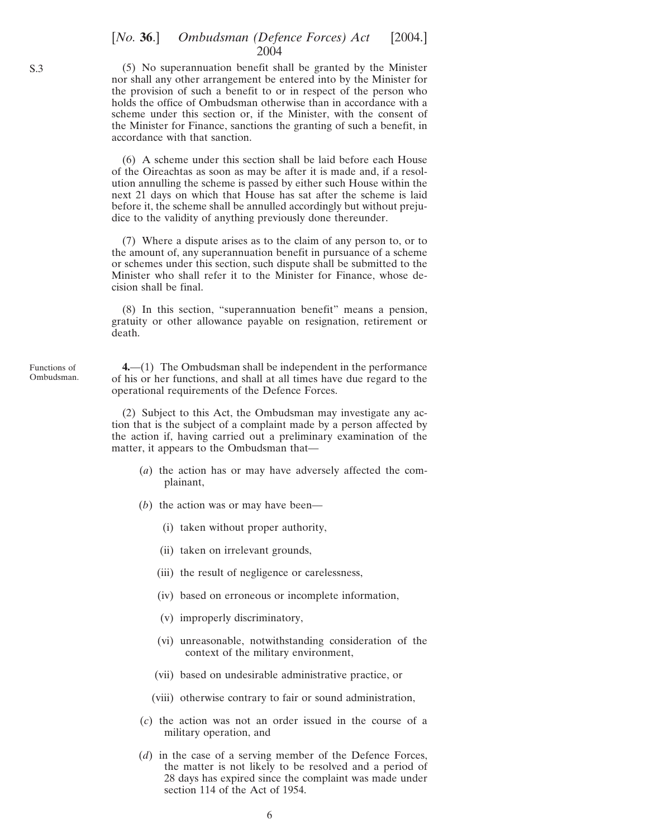# [*No.* **36**.] *Ombudsman (Defence Forces) Act* [2004.] 2004

(5) No superannuation benefit shall be granted by the Minister nor shall any other arrangement be entered into by the Minister for the provision of such a benefit to or in respect of the person who holds the office of Ombudsman otherwise than in accordance with a scheme under this section or, if the Minister, with the consent of the Minister for Finance, sanctions the granting of such a benefit, in accordance with that sanction.

(6) A scheme under this section shall be laid before each House of the Oireachtas as soon as may be after it is made and, if a resolution annulling the scheme is passed by either such House within the next 21 days on which that House has sat after the scheme is laid before it, the scheme shall be annulled accordingly but without prejudice to the validity of anything previously done thereunder.

(7) Where a dispute arises as to the claim of any person to, or to the amount of, any superannuation benefit in pursuance of a scheme or schemes under this section, such dispute shall be submitted to the Minister who shall refer it to the Minister for Finance, whose decision shall be final.

(8) In this section, "superannuation benefit" means a pension, gratuity or other allowance payable on resignation, retirement or death.

**4.**—(1) The Ombudsman shall be independent in the performance of his or her functions, and shall at all times have due regard to the operational requirements of the Defence Forces.

(2) Subject to this Act, the Ombudsman may investigate any action that is the subject of a complaint made by a person affected by the action if, having carried out a preliminary examination of the matter, it appears to the Ombudsman that—

- (*a*) the action has or may have adversely affected the complainant,
- (*b*) the action was or may have been—
	- (i) taken without proper authority,
	- (ii) taken on irrelevant grounds,
	- (iii) the result of negligence or carelessness,
	- (iv) based on erroneous or incomplete information,
	- (v) improperly discriminatory,
	- (vi) unreasonable, notwithstanding consideration of the context of the military environment,
	- (vii) based on undesirable administrative practice, or
	- (viii) otherwise contrary to fair or sound administration,
- (*c*) the action was not an order issued in the course of a military operation, and
- (*d*) in the case of a serving member of the Defence Forces, the matter is not likely to be resolved and a period of 28 days has expired since the complaint was made under section 114 of the Act of 1954.

Functions of Ombudsman.

<span id="page-5-0"></span>S.3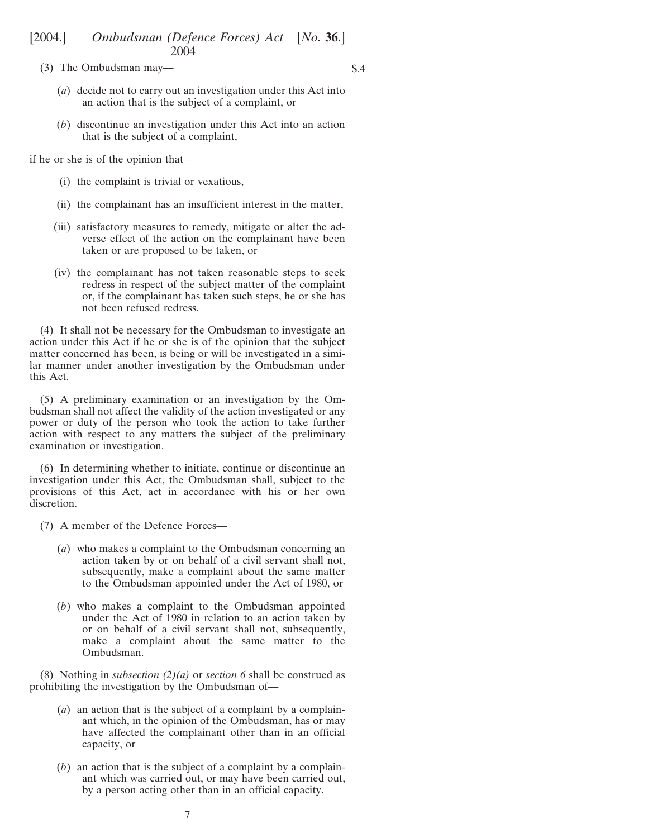(3) The Ombudsman may—

S.4

- (*a*) decide not to carry out an investigation under this Act into an action that is the subject of a complaint, or
- (*b*) discontinue an investigation under this Act into an action that is the subject of a complaint,

if he or she is of the opinion that—

- (i) the complaint is trivial or vexatious,
- (ii) the complainant has an insufficient interest in the matter,
- (iii) satisfactory measures to remedy, mitigate or alter the adverse effect of the action on the complainant have been taken or are proposed to be taken, or
- (iv) the complainant has not taken reasonable steps to seek redress in respect of the subject matter of the complaint or, if the complainant has taken such steps, he or she has not been refused redress.

(4) It shall not be necessary for the Ombudsman to investigate an action under this Act if he or she is of the opinion that the subject matter concerned has been, is being or will be investigated in a similar manner under another investigation by the Ombudsman under this Act.

(5) A preliminary examination or an investigation by the Ombudsman shall not affect the validity of the action investigated or any power or duty of the person who took the action to take further action with respect to any matters the subject of the preliminary examination or investigation.

(6) In determining whether to initiate, continue or discontinue an investigation under this Act, the Ombudsman shall, subject to the provisions of this Act, act in accordance with his or her own discretion.

- (7) A member of the Defence Forces—
	- (*a*) who makes a complaint to the Ombudsman concerning an action taken by or on behalf of a civil servant shall not, subsequently, make a complaint about the same matter to the Ombudsman appointed under the Act of 1980, or
	- (*b*) who makes a complaint to the Ombudsman appointed under the Act of 1980 in relation to an action taken by or on behalf of a civil servant shall not, subsequently, make a complaint about the same matter to the Ombudsman.

(8) Nothing in *subsection (2)(a)* or *section 6* shall be construed as prohibiting the investigation by the Ombudsman of—

- (*a*) an action that is the subject of a complaint by a complainant which, in the opinion of the Ombudsman, has or may have affected the complainant other than in an official capacity, or
- (*b*) an action that is the subject of a complaint by a complainant which was carried out, or may have been carried out, by a person acting other than in an official capacity.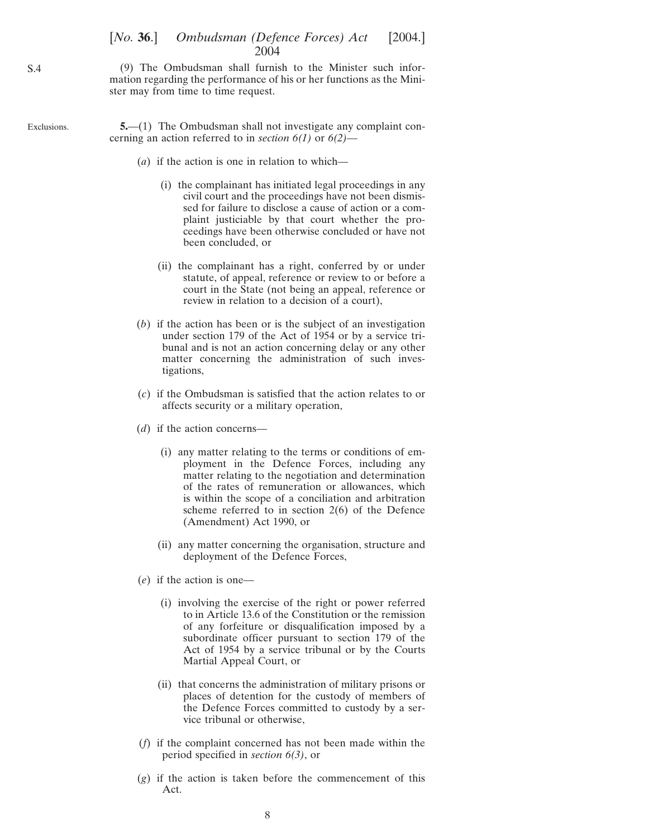### [*No.* **36.**] *Ombudsman (Defence Forces) Act* [2004.] 2004

(9) The Ombudsman shall furnish to the Minister such information regarding the performance of his or her functions as the Minister may from time to time request.

Exclusions. **5.**—(1) The Ombudsman shall not investigate any complaint concerning an action referred to in *section 6(1)* or *6(2)*—

- (*a*) if the action is one in relation to which—
	- (i) the complainant has initiated legal proceedings in any civil court and the proceedings have not been dismissed for failure to disclose a cause of action or a complaint justiciable by that court whether the proceedings have been otherwise concluded or have not been concluded, or
	- (ii) the complainant has a right, conferred by or under statute, of appeal, reference or review to or before a court in the State (not being an appeal, reference or review in relation to a decision of a court),
- (*b*) if the action has been or is the subject of an investigation under section 179 of the Act of 1954 or by a service tribunal and is not an action concerning delay or any other matter concerning the administration of such investigations,
- (*c*) if the Ombudsman is satisfied that the action relates to or affects security or a military operation,
- (*d*) if the action concerns—
	- (i) any matter relating to the terms or conditions of employment in the Defence Forces, including any matter relating to the negotiation and determination of the rates of remuneration or allowances, which is within the scope of a conciliation and arbitration scheme referred to in section 2(6) of the Defence (Amendment) Act 1990, or
	- (ii) any matter concerning the organisation, structure and deployment of the Defence Forces,
- (*e*) if the action is one—
	- (i) involving the exercise of the right or power referred to in Article 13.6 of the Constitution or the remission of any forfeiture or disqualification imposed by a subordinate officer pursuant to section 179 of the Act of 1954 by a service tribunal or by the Courts Martial Appeal Court, or
	- (ii) that concerns the administration of military prisons or places of detention for the custody of members of the Defence Forces committed to custody by a service tribunal or otherwise,
- (*f*) if the complaint concerned has not been made within the period specified in *section 6(3)*, or
- (*g*) if the action is taken before the commencement of this Act.

<span id="page-7-0"></span>S.4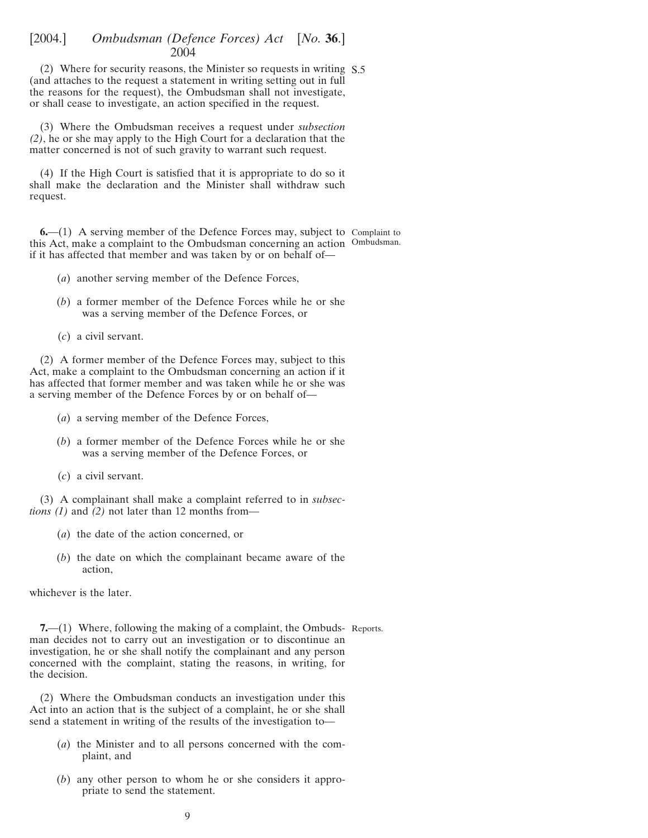<span id="page-8-0"></span>(2) Where for security reasons, the Minister so requests in writing S.5 (and attaches to the request a statement in writing setting out in full the reasons for the request), the Ombudsman shall not investigate, or shall cease to investigate, an action specified in the request.

(3) Where the Ombudsman receives a request under *subsection (2)*, he or she may apply to the High Court for a declaration that the matter concerned is not of such gravity to warrant such request.

(4) If the High Court is satisfied that it is appropriate to do so it shall make the declaration and the Minister shall withdraw such request.

**6.**—(1) A serving member of the Defence Forces may, subject to Complaint to this Act, make a complaint to the Ombudsman concerning an action Ombudsman. if it has affected that member and was taken by or on behalf of—

- (*a*) another serving member of the Defence Forces,
- (*b*) a former member of the Defence Forces while he or she was a serving member of the Defence Forces, or
- (*c*) a civil servant.

(2) A former member of the Defence Forces may, subject to this Act, make a complaint to the Ombudsman concerning an action if it has affected that former member and was taken while he or she was a serving member of the Defence Forces by or on behalf of—

- (*a*) a serving member of the Defence Forces,
- (*b*) a former member of the Defence Forces while he or she was a serving member of the Defence Forces, or
- (*c*) a civil servant.

(3) A complainant shall make a complaint referred to in *subsections (1)* and *(2)* not later than 12 months from—

- (*a*) the date of the action concerned, or
- (*b*) the date on which the complainant became aware of the action,

whichever is the later.

**7.**—(1) Where, following the making of a complaint, the Ombuds- Reports. man decides not to carry out an investigation or to discontinue an investigation, he or she shall notify the complainant and any person concerned with the complaint, stating the reasons, in writing, for the decision.

(2) Where the Ombudsman conducts an investigation under this Act into an action that is the subject of a complaint, he or she shall send a statement in writing of the results of the investigation to—

- (*a*) the Minister and to all persons concerned with the complaint, and
- (*b*) any other person to whom he or she considers it appropriate to send the statement.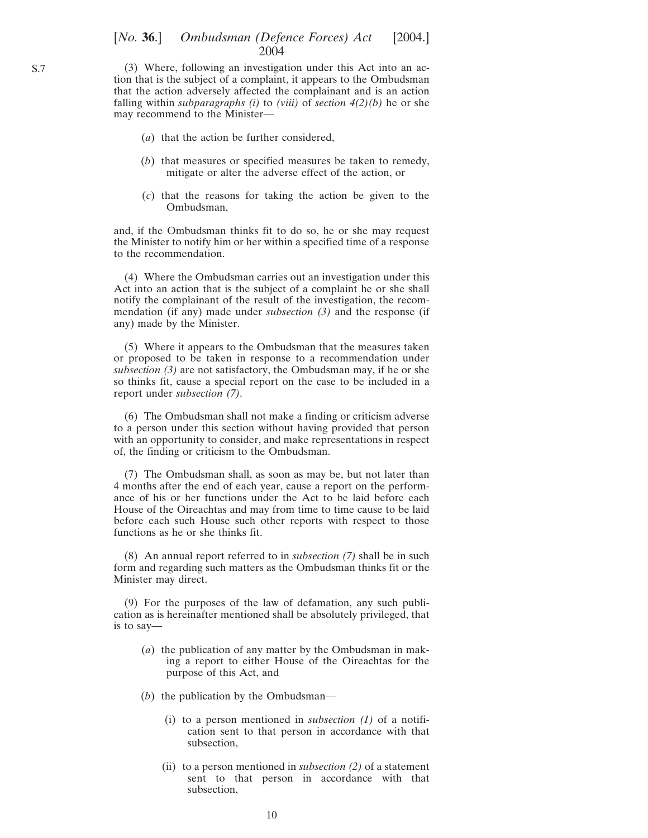#### [*No.* **36**.] *Ombudsman (Defence Forces) Act* [2004.] 2004

(3) Where, following an investigation under this Act into an action that is the subject of a complaint, it appears to the Ombudsman that the action adversely affected the complainant and is an action falling within *subparagraphs (i)* to *(viii)* of *section 4(2)(b)* he or she may recommend to the Minister—

- (*a*) that the action be further considered,
- (*b*) that measures or specified measures be taken to remedy, mitigate or alter the adverse effect of the action, or
- (*c*) that the reasons for taking the action be given to the Ombudsman,

and, if the Ombudsman thinks fit to do so, he or she may request the Minister to notify him or her within a specified time of a response to the recommendation.

(4) Where the Ombudsman carries out an investigation under this Act into an action that is the subject of a complaint he or she shall notify the complainant of the result of the investigation, the recommendation (if any) made under *subsection (3)* and the response (if any) made by the Minister.

(5) Where it appears to the Ombudsman that the measures taken or proposed to be taken in response to a recommendation under *subsection (3)* are not satisfactory, the Ombudsman may, if he or she so thinks fit, cause a special report on the case to be included in a report under *subsection (7)*.

(6) The Ombudsman shall not make a finding or criticism adverse to a person under this section without having provided that person with an opportunity to consider, and make representations in respect of, the finding or criticism to the Ombudsman.

(7) The Ombudsman shall, as soon as may be, but not later than 4 months after the end of each year, cause a report on the performance of his or her functions under the Act to be laid before each House of the Oireachtas and may from time to time cause to be laid before each such House such other reports with respect to those functions as he or she thinks fit.

(8) An annual report referred to in *subsection (7)* shall be in such form and regarding such matters as the Ombudsman thinks fit or the Minister may direct.

(9) For the purposes of the law of defamation, any such publication as is hereinafter mentioned shall be absolutely privileged, that is to say—

- (*a*) the publication of any matter by the Ombudsman in making a report to either House of the Oireachtas for the purpose of this Act, and
- (*b*) the publication by the Ombudsman—
	- (i) to a person mentioned in *subsection (1)* of a notification sent to that person in accordance with that subsection,
	- (ii) to a person mentioned in *subsection (2)* of a statement sent to that person in accordance with that subsection,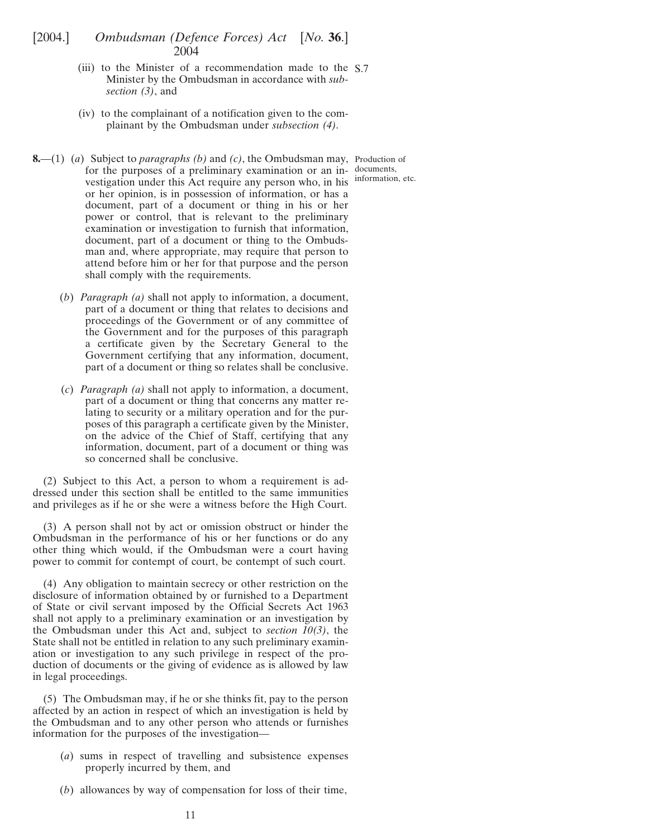- <span id="page-10-0"></span>(iii) to the Minister of a recommendation made to the S.7 Minister by the Ombudsman in accordance with *subsection (3)*, and
- (iv) to the complainant of a notification given to the complainant by the Ombudsman under *subsection (4)*.

**8.**—(1) (*a*) Subject to *paragraphs (b)* and *(c)*, the Ombudsman may, Production of for the purposes of a preliminary examination or an in-documents, vestigation under this Act require any person who, in his information, etc. or her opinion, is in possession of information, or has a document, part of a document or thing in his or her power or control, that is relevant to the preliminary examination or investigation to furnish that information, document, part of a document or thing to the Ombudsman and, where appropriate, may require that person to attend before him or her for that purpose and the person shall comply with the requirements.

(*b*) *Paragraph (a)* shall not apply to information, a document, part of a document or thing that relates to decisions and proceedings of the Government or of any committee of the Government and for the purposes of this paragraph a certificate given by the Secretary General to the Government certifying that any information, document, part of a document or thing so relates shall be conclusive.

(*c*) *Paragraph (a)* shall not apply to information, a document, part of a document or thing that concerns any matter relating to security or a military operation and for the purposes of this paragraph a certificate given by the Minister, on the advice of the Chief of Staff, certifying that any information, document, part of a document or thing was so concerned shall be conclusive.

(2) Subject to this Act, a person to whom a requirement is addressed under this section shall be entitled to the same immunities and privileges as if he or she were a witness before the High Court.

(3) A person shall not by act or omission obstruct or hinder the Ombudsman in the performance of his or her functions or do any other thing which would, if the Ombudsman were a court having power to commit for contempt of court, be contempt of such court.

(4) Any obligation to maintain secrecy or other restriction on the disclosure of information obtained by or furnished to a Department of State or civil servant imposed by the Official Secrets Act 1963 shall not apply to a preliminary examination or an investigation by the Ombudsman under this Act and, subject to *section 10(3)*, the State shall not be entitled in relation to any such preliminary examination or investigation to any such privilege in respect of the production of documents or the giving of evidence as is allowed by law in legal proceedings.

(5) The Ombudsman may, if he or she thinks fit, pay to the person affected by an action in respect of which an investigation is held by the Ombudsman and to any other person who attends or furnishes information for the purposes of the investigation—

- (*a*) sums in respect of travelling and subsistence expenses properly incurred by them, and
- (*b*) allowances by way of compensation for loss of their time,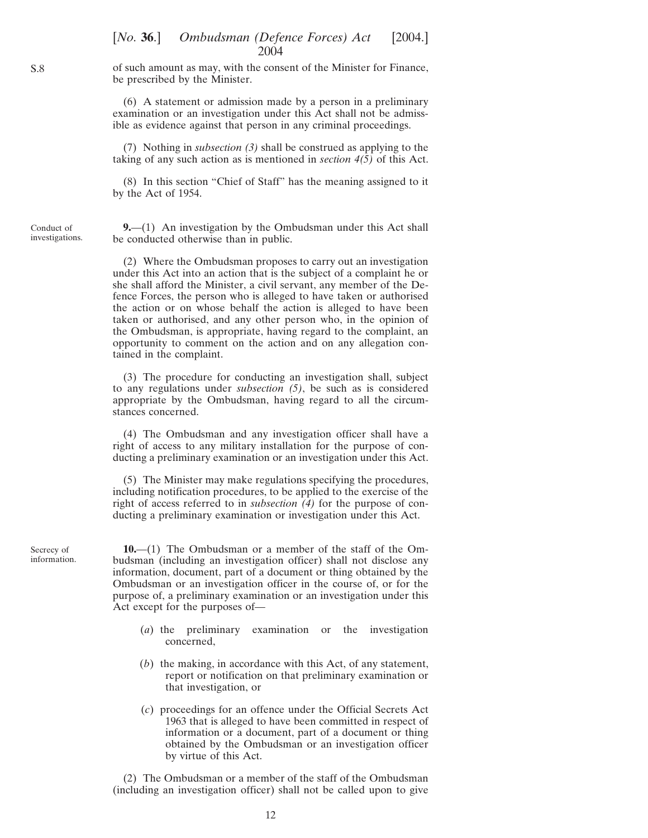<span id="page-11-0"></span>of such amount as may, with the consent of the Minister for Finance, be prescribed by the Minister.

(6) A statement or admission made by a person in a preliminary examination or an investigation under this Act shall not be admissible as evidence against that person in any criminal proceedings.

(7) Nothing in *subsection (3)* shall be construed as applying to the taking of any such action as is mentioned in *section 4(5)* of this Act.

(8) In this section "Chief of Staff" has the meaning assigned to it by the Act of 1954.

Conduct of investigations.

**9.**—(1) An investigation by the Ombudsman under this Act shall be conducted otherwise than in public.

(2) Where the Ombudsman proposes to carry out an investigation under this Act into an action that is the subject of a complaint he or she shall afford the Minister, a civil servant, any member of the Defence Forces, the person who is alleged to have taken or authorised the action or on whose behalf the action is alleged to have been taken or authorised, and any other person who, in the opinion of the Ombudsman, is appropriate, having regard to the complaint, an opportunity to comment on the action and on any allegation contained in the complaint.

(3) The procedure for conducting an investigation shall, subject to any regulations under *subsection (5)*, be such as is considered appropriate by the Ombudsman, having regard to all the circumstances concerned.

(4) The Ombudsman and any investigation officer shall have a right of access to any military installation for the purpose of conducting a preliminary examination or an investigation under this Act.

(5) The Minister may make regulations specifying the procedures, including notification procedures, to be applied to the exercise of the right of access referred to in *subsection (4)* for the purpose of conducting a preliminary examination or investigation under this Act.

Secrecy of information.

**10.**—(1) The Ombudsman or a member of the staff of the Ombudsman (including an investigation officer) shall not disclose any information, document, part of a document or thing obtained by the Ombudsman or an investigation officer in the course of, or for the purpose of, a preliminary examination or an investigation under this Act except for the purposes of—

- (*a*) the preliminary examination or the investigation concerned,
- (*b*) the making, in accordance with this Act, of any statement, report or notification on that preliminary examination or that investigation, or
- (*c*) proceedings for an offence under the Official Secrets Act 1963 that is alleged to have been committed in respect of information or a document, part of a document or thing obtained by the Ombudsman or an investigation officer by virtue of this Act.

(2) The Ombudsman or a member of the staff of the Ombudsman (including an investigation officer) shall not be called upon to give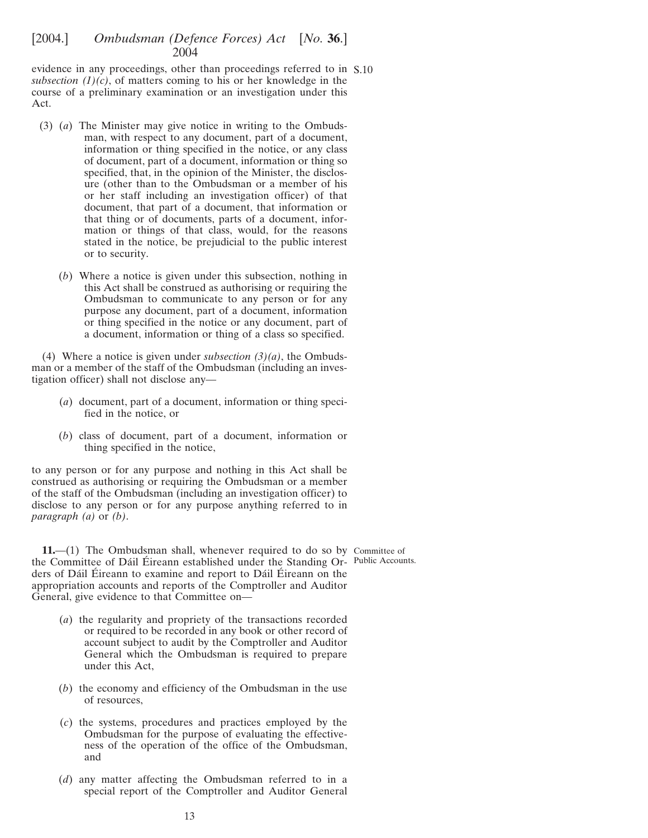<span id="page-12-0"></span>evidence in any proceedings, other than proceedings referred to in S.10 *subsection*  $(1)(c)$ , of matters coming to his or her knowledge in the course of a preliminary examination or an investigation under this Act.

- (3) (*a*) The Minister may give notice in writing to the Ombudsman, with respect to any document, part of a document, information or thing specified in the notice, or any class of document, part of a document, information or thing so specified, that, in the opinion of the Minister, the disclosure (other than to the Ombudsman or a member of his or her staff including an investigation officer) of that document, that part of a document, that information or that thing or of documents, parts of a document, information or things of that class, would, for the reasons stated in the notice, be prejudicial to the public interest or to security.
	- (*b*) Where a notice is given under this subsection, nothing in this Act shall be construed as authorising or requiring the Ombudsman to communicate to any person or for any purpose any document, part of a document, information or thing specified in the notice or any document, part of a document, information or thing of a class so specified.

(4) Where a notice is given under *subsection (3)(a)*, the Ombudsman or a member of the staff of the Ombudsman (including an investigation officer) shall not disclose any—

- (*a*) document, part of a document, information or thing specified in the notice, or
- (*b*) class of document, part of a document, information or thing specified in the notice,

to any person or for any purpose and nothing in this Act shall be construed as authorising or requiring the Ombudsman or a member of the staff of the Ombudsman (including an investigation officer) to disclose to any person or for any purpose anything referred to in *paragraph (a)* or *(b)*.

**11.**—(1) The Ombudsman shall, whenever required to do so by Committee of the Committee of Dáil Éireann established under the Standing Or-Public Accounts. ders of Dáil Éireann to examine and report to Dáil Éireann on the appropriation accounts and reports of the Comptroller and Auditor General, give evidence to that Committee on—

- (*a*) the regularity and propriety of the transactions recorded or required to be recorded in any book or other record of account subject to audit by the Comptroller and Auditor General which the Ombudsman is required to prepare under this Act,
- (*b*) the economy and efficiency of the Ombudsman in the use of resources,
- (*c*) the systems, procedures and practices employed by the Ombudsman for the purpose of evaluating the effectiveness of the operation of the office of the Ombudsman, and
- (*d*) any matter affecting the Ombudsman referred to in a special report of the Comptroller and Auditor General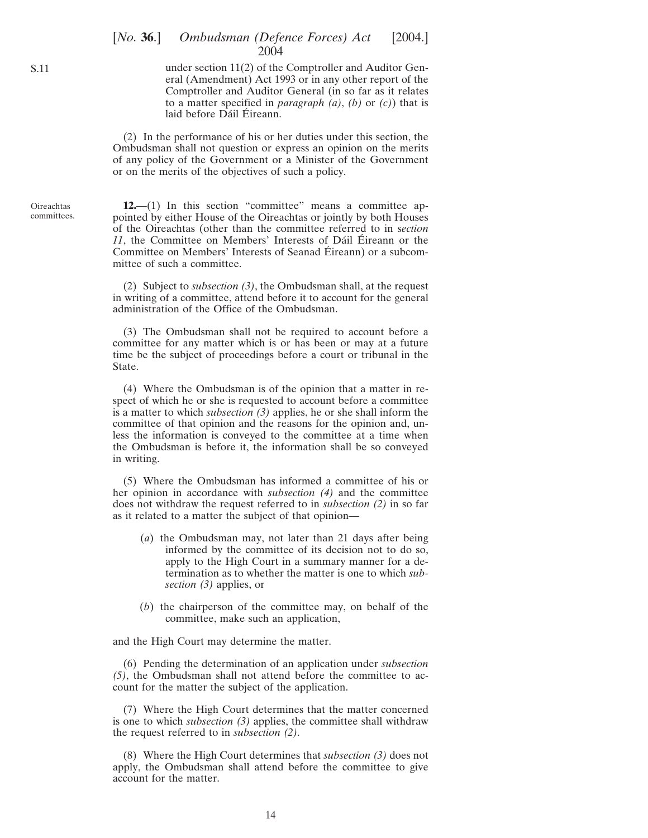under section 11(2) of the Comptroller and Auditor General (Amendment) Act 1993 or in any other report of the Comptroller and Auditor General (in so far as it relates to a matter specified in *paragraph (a)*, *(b)* or *(c)*) that is laid before Dáil Éireann.

(2) In the performance of his or her duties under this section, the Ombudsman shall not question or express an opinion on the merits of any policy of the Government or a Minister of the Government or on the merits of the objectives of such a policy.

**12.**—(1) In this section "committee" means a committee appointed by either House of the Oireachtas or jointly by both Houses of the Oireachtas (other than the committee referred to in s*ection* 11, the Committee on Members' Interests of Dáil Éireann or the Committee on Members' Interests of Seanad Éireann) or a subcommittee of such a committee.

(2) Subject to *subsection (3)*, the Ombudsman shall, at the request in writing of a committee, attend before it to account for the general administration of the Office of the Ombudsman.

(3) The Ombudsman shall not be required to account before a committee for any matter which is or has been or may at a future time be the subject of proceedings before a court or tribunal in the State.

(4) Where the Ombudsman is of the opinion that a matter in respect of which he or she is requested to account before a committee is a matter to which *subsection (3)* applies, he or she shall inform the committee of that opinion and the reasons for the opinion and, unless the information is conveyed to the committee at a time when the Ombudsman is before it, the information shall be so conveyed in writing.

(5) Where the Ombudsman has informed a committee of his or her opinion in accordance with *subsection (4)* and the committee does not withdraw the request referred to in *subsection (2)* in so far as it related to a matter the subject of that opinion—

- (*a*) the Ombudsman may, not later than 21 days after being informed by the committee of its decision not to do so, apply to the High Court in a summary manner for a determination as to whether the matter is one to which *subsection (3)* applies, or
- (*b*) the chairperson of the committee may, on behalf of the committee, make such an application,

and the High Court may determine the matter.

(6) Pending the determination of an application under *subsection (5)*, the Ombudsman shall not attend before the committee to account for the matter the subject of the application.

(7) Where the High Court determines that the matter concerned is one to which *subsection (3)* applies, the committee shall withdraw the request referred to in *subsection (2)*.

(8) Where the High Court determines that *subsection (3)* does not apply, the Ombudsman shall attend before the committee to give account for the matter.

<span id="page-13-0"></span>S.11

**Oireachtas** committees.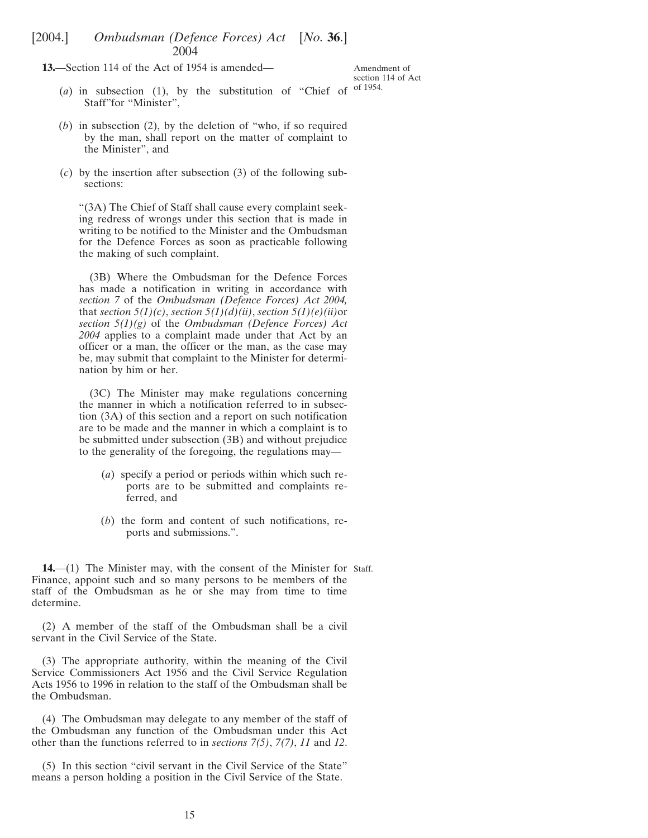<span id="page-14-0"></span>**13.**—Section 114 of the Act of 1954 is amended—

Amendment of section 114 of Act of 1954.

- (*a*) in subsection (1), by the substitution of "Chief of Staff"for "Minister",
- (*b*) in subsection (2), by the deletion of "who, if so required by the man, shall report on the matter of complaint to the Minister", and
- (*c*) by the insertion after subsection (3) of the following subsections:

"(3A) The Chief of Staff shall cause every complaint seeking redress of wrongs under this section that is made in writing to be notified to the Minister and the Ombudsman for the Defence Forces as soon as practicable following the making of such complaint.

(3B) Where the Ombudsman for the Defence Forces has made a notification in writing in accordance with *section 7* of the *Ombudsman (Defence Forces) Act 2004,* that *section*  $5(1)(c)$ , *section*  $5(1)(d)(ii)$ , *section*  $5(1)(e)(ii)$ or *section 5(1)(g)* of the *Ombudsman (Defence Forces) Act 2004* applies to a complaint made under that Act by an officer or a man, the officer or the man, as the case may be, may submit that complaint to the Minister for determination by him or her.

(3C) The Minister may make regulations concerning the manner in which a notification referred to in subsection (3A) of this section and a report on such notification are to be made and the manner in which a complaint is to be submitted under subsection (3B) and without prejudice to the generality of the foregoing, the regulations may—

- (*a*) specify a period or periods within which such reports are to be submitted and complaints referred, and
- (*b*) the form and content of such notifications, reports and submissions.".

**14.**—(1) The Minister may, with the consent of the Minister for Staff.Finance, appoint such and so many persons to be members of the staff of the Ombudsman as he or she may from time to time determine.

(2) A member of the staff of the Ombudsman shall be a civil servant in the Civil Service of the State.

(3) The appropriate authority, within the meaning of the Civil Service Commissioners Act 1956 and the Civil Service Regulation Acts 1956 to 1996 in relation to the staff of the Ombudsman shall be the Ombudsman.

(4) The Ombudsman may delegate to any member of the staff of the Ombudsman any function of the Ombudsman under this Act other than the functions referred to in *sections 7(5)*, *7(7)*, *11* and *12*.

(5) In this section "civil servant in the Civil Service of the State" means a person holding a position in the Civil Service of the State.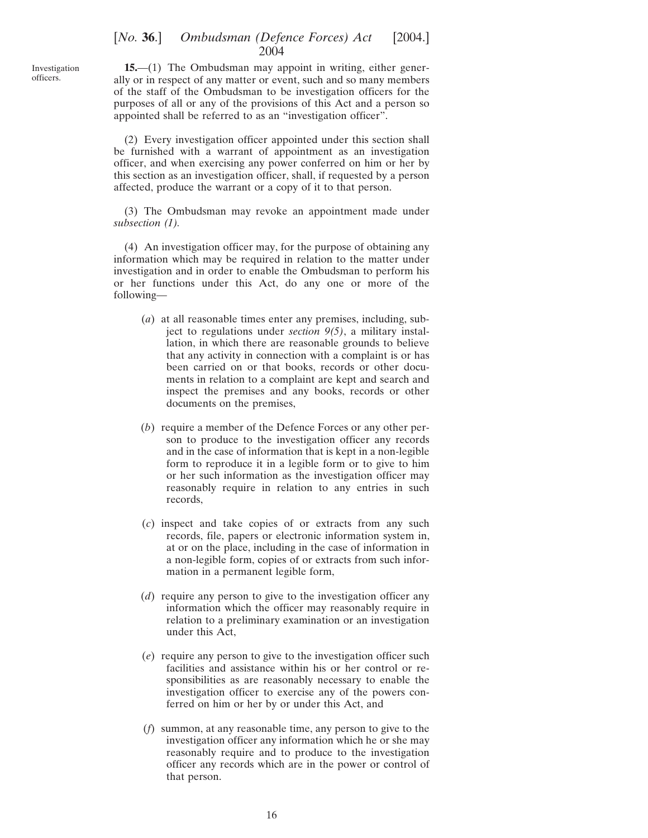<span id="page-15-0"></span>Investigation officers.

**15.**—(1) The Ombudsman may appoint in writing, either generally or in respect of any matter or event, such and so many members of the staff of the Ombudsman to be investigation officers for the purposes of all or any of the provisions of this Act and a person so appointed shall be referred to as an "investigation officer".

(2) Every investigation officer appointed under this section shall be furnished with a warrant of appointment as an investigation officer, and when exercising any power conferred on him or her by this section as an investigation officer, shall, if requested by a person affected, produce the warrant or a copy of it to that person.

(3) The Ombudsman may revoke an appointment made under *subsection (1).*

(4) An investigation officer may, for the purpose of obtaining any information which may be required in relation to the matter under investigation and in order to enable the Ombudsman to perform his or her functions under this Act, do any one or more of the following—

- (*a*) at all reasonable times enter any premises, including, subject to regulations under *section 9(5)*, a military installation, in which there are reasonable grounds to believe that any activity in connection with a complaint is or has been carried on or that books, records or other documents in relation to a complaint are kept and search and inspect the premises and any books, records or other documents on the premises,
- (*b*) require a member of the Defence Forces or any other person to produce to the investigation officer any records and in the case of information that is kept in a non-legible form to reproduce it in a legible form or to give to him or her such information as the investigation officer may reasonably require in relation to any entries in such records,
- (*c*) inspect and take copies of or extracts from any such records, file, papers or electronic information system in, at or on the place, including in the case of information in a non-legible form, copies of or extracts from such information in a permanent legible form,
- (*d*) require any person to give to the investigation officer any information which the officer may reasonably require in relation to a preliminary examination or an investigation under this Act,
- (*e*) require any person to give to the investigation officer such facilities and assistance within his or her control or responsibilities as are reasonably necessary to enable the investigation officer to exercise any of the powers conferred on him or her by or under this Act, and
- (*f*) summon, at any reasonable time, any person to give to the investigation officer any information which he or she may reasonably require and to produce to the investigation officer any records which are in the power or control of that person.